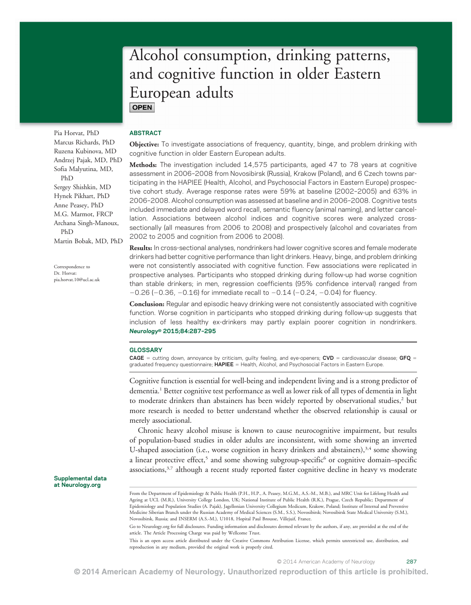# Alcohol consumption, drinking patterns, and cognitive function in older Eastern European adults **OPEN**

Pia Horvat, PhD Marcus Richards, PhD Ruzena Kubinova, MD Andrzej Pajak, MD, PhD Sofia Malyutina, MD, PhD Sergey Shishkin, MD Hynek Pikhart, PhD Anne Peasey, PhD M.G. Marmot, FRCP Archana Singh-Manoux, PhD Martin Bobak, MD, PhD

Correspondence to Dr. Horvat: [pia.horvat.10@ucl.ac.uk](mailto:pia.horvat.10@ucl.ac.uk)

Supplemental data at [Neurology.org](http://neurology.org/)

### ABSTRACT

Objective: To investigate associations of frequency, quantity, binge, and problem drinking with cognitive function in older Eastern European adults.

Methods: The investigation included 14,575 participants, aged 47 to 78 years at cognitive assessment in 2006–2008 from Novosibirsk (Russia), Krakow (Poland), and 6 Czech towns participating in the HAPIEE (Health, Alcohol, and Psychosocial Factors in Eastern Europe) prospective cohort study. Average response rates were 59% at baseline (2002–2005) and 63% in 2006–2008. Alcohol consumption was assessed at baseline and in 2006–2008. Cognitive tests included immediate and delayed word recall, semantic fluency (animal naming), and letter cancellation. Associations between alcohol indices and cognitive scores were analyzed crosssectionally (all measures from 2006 to 2008) and prospectively (alcohol and covariates from 2002 to 2005 and cognition from 2006 to 2008).

Results: In cross-sectional analyses, nondrinkers had lower cognitive scores and female moderate drinkers had better cognitive performance than light drinkers. Heavy, binge, and problem drinking were not consistently associated with cognitive function. Few associations were replicated in prospective analyses. Participants who stopped drinking during follow-up had worse cognition than stable drinkers; in men, regression coefficients (95% confidence interval) ranged from  $-0.26$  ( $-0.36$ ,  $-0.16$ ) for immediate recall to  $-0.14$  ( $-0.24$ ,  $-0.04$ ) for fluency.

**Conclusion:** Regular and episodic heavy drinking were not consistently associated with cognitive function. Worse cognition in participants who stopped drinking during follow-up suggests that inclusion of less healthy ex-drinkers may partly explain poorer cognition in nondrinkers. Neurology® 2015;84:287–<sup>295</sup>

#### **GLOSSARY**

**CAGE** = cutting down, annoyance by criticism, guilty feeling, and eye-openers; CVD = cardiovascular disease; GFQ = graduated frequency questionnaire; HAPIEE = Health, Alcohol, and Psychosocial Factors in Eastern Europe.

Cognitive function is essential for well-being and independent living and is a strong predictor of dementia.<sup>1</sup> Better cognitive test performance as well as lower risk of all types of dementia in light to moderate drinkers than abstainers has been widely reported by observational studies,<sup>2</sup> but more research is needed to better understand whether the observed relationship is causal or merely associational.

Chronic heavy alcohol misuse is known to cause neurocognitive impairment, but results of population-based studies in older adults are inconsistent, with some showing an inverted U-shaped association (i.e., worse cognition in heavy drinkers and abstainers),<sup>3,4</sup> some showing a linear protective effect,<sup>5</sup> and some showing subgroup-specific<sup>6</sup> or cognitive domain–specific associations, $3<sup>3</sup>$  although a recent study reported faster cognitive decline in heavy vs moderate

© 2014 American Academy of Neurology 287

From the Department of Epidemiology & Public Health (P.H., H.P., A. Peasey, M.G.M., A.S.-M., M.B.), and MRC Unit for Lifelong Health and Ageing at UCL (M.R.), University College London, UK; National Institute of Public Health (R.K.), Prague, Czech Republic; Department of Epidemiology and Population Studies (A. Pajak), Jagellonian University Collegium Medicum, Krakow, Poland; Institute of Internal and Preventive Medicine Siberian Branch under the Russian Academy of Medical Sciences (S.M., S.S.), Novosibirsk; Novosibirsk State Medical University (S.M.), Novosibirsk, Russia; and INSERM (A.S.-M.), U1018, Hopital Paul Brousse, Villejuif, France.

Go to [Neurology.org](http://neurology.org/) for full disclosures. Funding information and disclosures deemed relevant by the authors, if any, are provided at the end of the article. The Article Processing Charge was paid by Wellcome Trust.

This is an open access article distributed under the Creative Commons Attribution License, which permits unrestricted use, distribution, and reproduction in any medium, provided the original work is properly cited.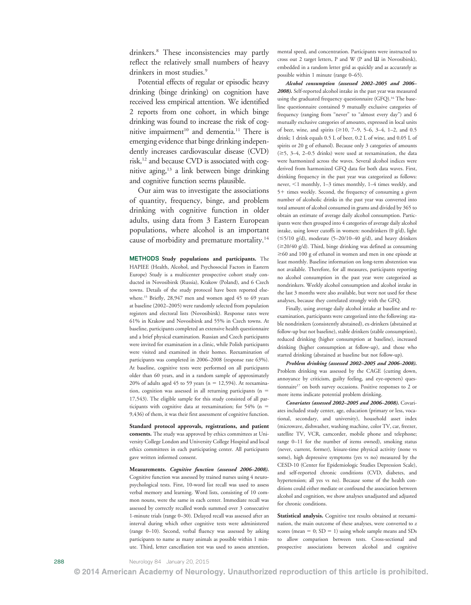drinkers. <sup>8</sup> These inconsistencies may partly reflect the relatively small numbers of heavy drinkers in most studies. 9

Potential effects of regular or episodic heavy drinking (binge drinking) on cognition have received less empirical attention. We identified 2 reports from one cohort, in which binge drinking was found to increase the risk of cognitive impairment<sup>10</sup> and dementia.<sup>11</sup> There is emerging evidence that binge drinking independently increases cardiovascular disease (CVD) risk,<sup>12</sup> and because CVD is associated with cognitive aging,<sup>13</sup> a link between binge drinking and cognitive function seems plausible.

Our aim was to investigate the associations of quantity, frequency, binge, and problem drinking with cognitive function in older adults, using data from 3 Eastern European populations, where alcohol is an important cause of morbidity and premature mortality.14

METHODS Study populations and participants. The HAPIEE (Health, Alcohol, and Psychosocial Factors in Eastern Europe) Study is a multicenter prospective cohort study conducted in Novosibirsk (Russia), Krakow (Poland), and 6 Czech towns. Details of the study protocol have been reported elsewhere.15 Briefly, 28,947 men and women aged 45 to 69 years at baseline (2002 –2005) were randomly selected from population registers and electoral lists (Novosibirsk). Response rates were 61% in Krakow and Novosibirsk and 55% in Czech towns. At baseline, participants completed an extensive health questionnaire and a brief physical examination. Russian and Czech participants were invited for examination in a clinic, while Polish participants were visited and examined in their homes. Reexamination of participants was completed in 2006 –2008 (response rate 63%). At baseline, cognitive tests were performed on all participants older than 60 years, and in a random sample of approximately 20% of adults aged  $45$  to 59 years ( $n = 12,594$ ). At reexamination, cognition was assessed in all returning participants ( $n =$ 17,543). The eligible sample for this study consisted of all participants with cognitive data at reexamination; for  $54\%$  (n = 9,436) of them, it was their first assessment of cognitive function.

Standard protocol approvals, registrations, and patient consents. The study was approved by ethics committees at University College London and University College Hospital and local ethics committees in each participating center. All participants gave written informed consent.

Measurements. Cognitive function (assessed 2006–2008). Cognitive function was assessed by trained nurses using 4 neuropsychological tests. First, 10-word list recall was used to assess verbal memory and learning. Word lists, consisting of 10 common nouns, were the same in each center. Immediate recall was assessed by correctly recalled words summed over 3 consecutive 1-minute trials (range 0 –30). Delayed recall was assessed after an interval during which other cognitive tests were administered (range 0 –10). Second, verbal fluency was assessed by asking participants to name as many animals as possible within 1 minute. Third, letter cancellation test was used to assess attention,

mental speed, and concentration. Participants were instructed to cross out 2 target letters, P and W (P and Ш in Novosibirsk), embedded in a random letter grid as quickly and as accurately as possible within 1 minute (range 0 –65).

Alcohol consumption (assessed 2002–2005 and 2006– 2008). Self-reported alcohol intake in the past year was measured using the graduated frequency questionnaire (GFQ).<sup>16</sup> The baseline questionnaire contained 9 mutually exclusive categories of frequency (ranging from "never" to "almost every day") and 6 mutually exclusive categories of amounts, expressed in local units of beer, wine, and spirits  $(\geq 10, 7-9, 5-6, 3-4, 1-2,$  and 0.5<br>drinks 1 drink gaugh 0.5 L of beer 0.2 L of wine, and 0.05 L of drink; 1 drink equals 0.5 L of beer, 0.2 L of wine, and 0.05 L of spirits or 20 g of ethanol). Because only 3 categories of amounts  $(\geq 5, 3-4, 2-0.5$  drinks) were used at reexamination, the data were harmonized across the waves. Several alcohol indices were derived from harmonized GFQ data for both data waves. First, drinking frequency in the past year was categorized as follows: never, <1 monthly, 1-3 times monthly, 1-4 times weekly, and 5 1 times weekly. Second, the frequency of consuming a given number of alcoholic drinks in the past year was converted into total amount of alcohol consumed in grams and divided by 365 to obtain an estimate of average daily alcohol consumption. Participants were then grouped into 4 categories of average daily alcohol intake, using lower cutoffs in women: nondrinkers (0 g/d), light  $(\leq 5/10 \text{ g/d})$ , moderate (5–20/10–40 g/d), and heavy drinkers ( $\geq 20/40 \text{ g/d})$ . Third, binge drinking was defined as consuming  $\geq$  60 and 100 g of ethanol in women and men in one episode at least monthly. Baseline information on long-term abstention was not available. Therefore, for all measures, participants reporting no alcohol consumption in the past year were categorized as nondrinkers. Weekly alcohol consumption and alcohol intake in the last 3 months were also available, but were not used for these analyses, because they correlated strongly with the GFQ.

Finally, using average daily alcohol intake at baseline and reexamination, participants were categorized into the following: stable nondrinkers (consistently abstained), ex-drinkers (abstained at follow-up but not baseline), stable drinkers (stable consumption), reduced drinking (higher consumption at baseline), increased drinking (higher consumption at follow-up), and those who started drinking (abstained at baseline but not follow-up).

Problem drinking (assessed 2002–2005 and 2006–2008). Problem drinking was assessed by the CAGE (cutting down, annoyance by criticism, guilty feeling, and eye-openers) questionnaire<sup>17</sup> on both survey occasions. Positive responses to 2 or more items indicate potential problem drinking.

Covariates (assessed 2002–2005 and 2006–2008). Covariates included study center, age, education (primary or less, vocational, secondary, and university), household asset index (microwave, dishwasher, washing machine, color TV, car, freezer, satellite TV, VCR, camcorder, mobile phone and telephone; range 0 –11 for the number of items owned), smoking status (never, current, former), leisure-time physical activity (none vs some), high depressive symptoms (yes vs no) measured by the CESD-10 (Center for Epidemiologic Studies Depression Scale), and self-reported chronic conditions (CVD, diabetes, and hypertension; all yes vs no). Because some of the health conditions could either mediate or confound the association between alcohol and cognition, we show analyses unadjusted and adjusted for chronic conditions.

Statistical analysis. Cognitive test results obtained at reexamination, the main outcome of these analyses, were converted to z scores (mean  $= 0$ ;  $SD = 1$ ) using whole sample means and  $SDs$ to allow comparison between tests. Cross-sectional and prospective associations between alcohol and cognitive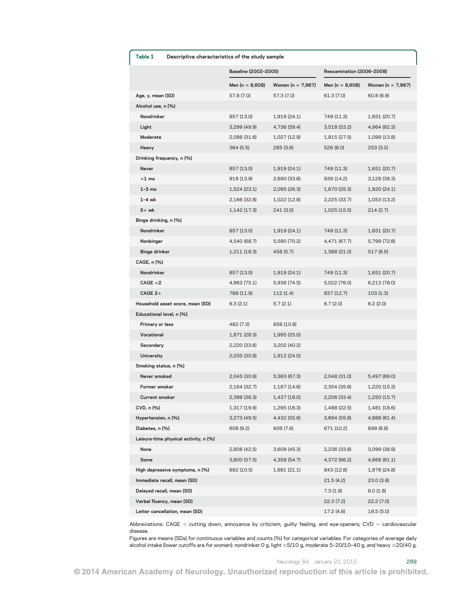| Table 1               | Descriptive characteristics of the study sample |                                         |              |                           |                   |  |  |
|-----------------------|-------------------------------------------------|-----------------------------------------|--------------|---------------------------|-------------------|--|--|
|                       |                                                 | Baseline (2002-2005)                    |              | Reexamination (2006-2008) |                   |  |  |
|                       |                                                 | Men (n = $6,608$ )<br>Women (n = 7,967) |              | Men (n = 6,608)           | Women (n = 7,967) |  |  |
| Age, y, mean (SD)     |                                                 | 57.8 (7.0)                              | 57.3 (7.0)   | 61.3 (7.0)                | 60.8 (6.9)        |  |  |
| Alcohol use, n (%)    |                                                 |                                         |              |                           |                   |  |  |
| Nondrinker            |                                                 | 857 (13.0)                              | 1,919 (24.1) | 749 (11.3)                | 1,651 (20.7)      |  |  |
| Light                 |                                                 | 3,299 (49.9)                            | 4,736 (59.4) | 3,518 (53.2)              | 4,964 (62.3)      |  |  |
| Moderate              |                                                 | 2,088 (31.6)                            | 1,027 (12.9) | 1,815 (27.5)              | 1,099 (13.8)      |  |  |
| Heavy                 |                                                 | 364(5.5)                                | 285 (3.6)    | 526 (8.0)                 | 253(3.2)          |  |  |
|                       | Drinking frequency, n (%)                       |                                         |              |                           |                   |  |  |
| Never                 |                                                 | 857 (13.0)                              | 1,919 (24.1) | 749 (11.3)                | 1,651 (20.7)      |  |  |
| $<$ 1 mo              |                                                 | 919 (13.9)                              | 2,690 (33.8) | 939 (14.2)                | 3,129 (39.3)      |  |  |
| $1-3$ mo              |                                                 | 1,524 (23.1)                            | 2,095 (26.3) | 1,670 (25.3)              | 1,920 (24.1)      |  |  |
| $1 - 4$ wk            |                                                 | 2,166 (32.8)                            | 1,022 (12.8) | 2,225 (33.7)              | 1,053 (13.2)      |  |  |
| $5+wk$                |                                                 | 1,142 (17.3)                            | 241 (3.0)    | 1,025 (15.5)              | 214 (2.7)         |  |  |
| Binge drinking, n (%) |                                                 |                                         |              |                           |                   |  |  |
| Nondrinker            |                                                 | 857 (13.0)                              | 1,919 (24.1) | 749 (11.3)                | 1,651 (20.7)      |  |  |
| Nonbinger             |                                                 | 4,540 (68.7)                            | 5,590 (70.2) | 4,471 (67.7)              | 5,799 (72.8)      |  |  |
| <b>Binge drinker</b>  |                                                 | 1,211 (18.3)                            | 458 (5.7)    | 1,388 (21.0)              | 517 (6.5)         |  |  |
| CAGE, n (%)           |                                                 |                                         |              |                           |                   |  |  |
| Nondrinker            |                                                 | 857 (13.0)                              | 1,919 (24.1) | 749 (11.3)                | 1,651 (20.7)      |  |  |
| CAGE < 2              |                                                 | 4,963 (75.1)                            | 5,936 (74.5) | 5,022 (76.0)              | 6,213 (78.0)      |  |  |
| $CAGE 2+$             |                                                 | 788 (11.9)                              | 112(1.4)     | 837 (12.7)                | 103(1.3)          |  |  |
|                       | Household asset score, mean (SD)                | 6.3(2.1)                                | 5.7 (2.1)    | 6.7(2.0)                  | 6.2(2.0)          |  |  |
|                       | Educational level, n (%)                        |                                         |              |                           |                   |  |  |
| Primary or less       |                                                 | 482 (7.3)                               | 858 (10.8)   |                           |                   |  |  |
| Vocational            |                                                 | 1,871 (28.3)                            | 1,995 (25.0) |                           |                   |  |  |
| Secondary             |                                                 | 2,220 (33.6)                            | 3,202 (40.2) |                           |                   |  |  |
| University            |                                                 | 2,035 (30.8)                            | 1,912 (24.0) |                           |                   |  |  |
| Smoking status, n (%) |                                                 |                                         |              |                           |                   |  |  |
| Never smoked          |                                                 | 2,045 (30.9)                            | 5,363 (67.3) | 2,048 (31.0)              | 5,497 (69.0)      |  |  |
| Former smoker         |                                                 | 2,164 (32.7)                            | 1,167 (14.6) | 2,354 (35.6)              | 1,220 (15.3)      |  |  |
| Current smoker        |                                                 | 2,399 (36.3)                            | 1,437 (18.0) | 2,206 (33.4)              | 1,250 (15.7)      |  |  |
| CVD, n (%)            |                                                 | 1,317 (19.9)                            | 1,295 (16.3) | 1,488 (22.5)              | 1,481 (18.6)      |  |  |
| Hypertension, n (%)   |                                                 | 3,273 (49.5)                            | 4,432 (55.6) | 3,694 (55.9)              | 4,888 (61.4)      |  |  |
| Diabetes, n (%)       |                                                 | 608 (9.2)                               | 608 (7.6)    | 671 (10.2)                | 699 (8.8)         |  |  |
|                       | Leisure-time physical activity, n (%)           |                                         |              |                           |                   |  |  |
| None                  |                                                 | 2,808 (42.5)                            | 3,609 (45.3) | 2,236 (33.8)              | 3,099 (38.9)      |  |  |
| Some                  |                                                 | 3,800 (57.5)                            | 4,358 (54.7) | 4,372 (66.2)              | 4,868 (61.1)      |  |  |
|                       | High depressive symptoms, n (%)                 | 692 (10.5)                              | 1,681 (21.1) | 843 (12.8)                | 1,976 (24.8)      |  |  |
|                       | Immediate recall, mean (SD)                     |                                         |              | 21.5(4.2)                 | 23.0 (3.8)        |  |  |
|                       | Delayed recall, mean (SD)                       |                                         |              | 7.3 (1.9)                 | 8.0(1.8)          |  |  |
|                       | Verbal fluency, mean (SD)                       |                                         |              | 22.3 (7.2)                | 22.2 (7.0)        |  |  |
|                       | Letter cancellation, mean (SD)                  |                                         |              | 17.2 (4.8)                | 18.5 (5.0)        |  |  |

Abbreviations: CAGE = cutting down, annoyance by criticism, guilty feeling, and eye-openers; CVD = cardiovascular disease.

Figures are means (SDs) for continuous variables and counts (%) for categorical variables. For categories of average daily alcohol intake (lower cutoffs are for women): nondrinker 0 g, light  $\leq 5/10$  g, moderate 5-20/10-40 g, and heavy  $\geq$  20/40 g.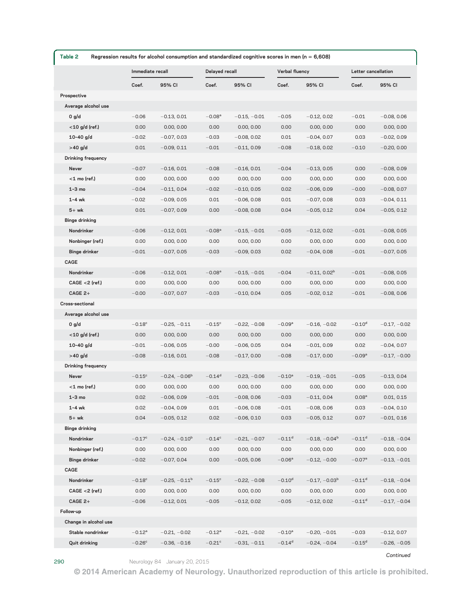| Table 2<br>Regression results for alcohol consumption and standardized cognitive scores in men ( $n = 6,608$ ) |                      |                 |                      |                |                      |                 |                      |                |
|----------------------------------------------------------------------------------------------------------------|----------------------|-----------------|----------------------|----------------|----------------------|-----------------|----------------------|----------------|
|                                                                                                                | Immediate recall     |                 | Delayed recall       |                | Verbal fluency       |                 | Letter cancellation  |                |
|                                                                                                                | Coef.                | 95% CI          | Coef.                | 95% CI         | Coef.                | 95% CI          | Coef.                | 95% CI         |
| Prospective                                                                                                    |                      |                 |                      |                |                      |                 |                      |                |
| Average alcohol use                                                                                            |                      |                 |                      |                |                      |                 |                      |                |
| 0 g/d                                                                                                          | $-0.06$              | $-0.13, 0.01$   | $-0.08a$             | $-0.15, -0.01$ | $-0.05$              | $-0.12, 0.02$   | $-0.01$              | $-0.08, 0.06$  |
| $<$ 10 g/d (ref.)                                                                                              | 0.00                 | 0.00, 0.00      | 0.00                 | 0.00, 0.00     | 0.00                 | 0.00, 0.00      | 0.00                 | 0.00, 0.00     |
| $10 - 40$ g/d                                                                                                  | $-0.02$              | $-0.07, 0.03$   | $-0.03$              | $-0.08, 0.02$  | 0.01                 | $-0.04, 0.07$   | 0.03                 | $-0.02, 0.09$  |
| $>40$ g/d                                                                                                      | 0.01                 | $-0.09, 0.11$   | $-0.01$              | $-0.11, 0.09$  | $-0.08$              | $-0.18, 0.02$   | $-0.10$              | $-0.20, 0.00$  |
| <b>Drinking frequency</b>                                                                                      |                      |                 |                      |                |                      |                 |                      |                |
| Never                                                                                                          | $-0.07$              | $-0.16, 0.01$   | $-0.08$              | $-0.16, 0.01$  | $-0.04$              | $-0.13, 0.05$   | 0.00                 | $-0.08, 0.09$  |
| $<$ 1 mo (ref.)                                                                                                | 0.00                 | 0.00, 0.00      | 0.00                 | 0.00, 0.00     | 0.00                 | 0.00, 0.00      | 0.00                 | 0.00, 0.00     |
| $1-3$ mo                                                                                                       | $-0.04$              | $-0.11, 0.04$   | $-0.02$              | $-0.10, 0.05$  | 0.02                 | $-0.06, 0.09$   | $-0.00$              | $-0.08, 0.07$  |
| $1-4$ wk                                                                                                       | $-0.02$              | $-0.09, 0.05$   | 0.01                 | $-0.06, 0.08$  | 0.01                 | $-0.07, 0.08$   | 0.03                 | $-0.04, 0.11$  |
| $5+wk$                                                                                                         | 0.01                 | $-0.07, 0.09$   | 0.00                 | $-0.08, 0.08$  | 0.04                 | $-0.05, 0.12$   | 0.04                 | $-0.05, 0.12$  |
| <b>Binge drinking</b><br>Nondrinker                                                                            | $-0.06$              | $-0.12, 0.01$   | $-0.08^{\rm a}$      | $-0.15, -0.01$ | $-0.05$              | $-0.12, 0.02$   | $-0.01$              | $-0.08, 0.05$  |
| Nonbinger (ref.)                                                                                               | 0.00                 | 0.00, 0.00      | 0.00                 | 0.00, 0.00     | 0.00                 | 0.00, 0.00      | 0.00                 | 0.00, 0.00     |
| <b>Binge drinker</b>                                                                                           | $-0.01$              | $-0.07, 0.05$   | $-0.03$              | $-0.09, 0.03$  | 0.02                 | $-0.04, 0.08$   | $-0.01$              | $-0.07, 0.05$  |
| CAGE                                                                                                           |                      |                 |                      |                |                      |                 |                      |                |
| Nondrinker                                                                                                     | $-0.06$              | $-0.12, 0.01$   | $-0.08a$             | $-0.15, -0.01$ | $-0.04$              | $-0.11, 0.02b$  | $-0.01$              | $-0.08, 0.05$  |
| $CAGE < 2$ (ref.)                                                                                              | 0.00                 | 0.00, 0.00      | 0.00                 | 0.00, 0.00     | 0.00                 | 0.00, 0.00      | 0.00                 | 0.00, 0.00     |
| $CAGE 2+$                                                                                                      | $-0.00$              | $-0.07, 0.07$   | $-0.03$              | $-0.10, 0.04$  | 0.05                 | $-0.02, 0.12$   | $-0.01$              | $-0.08, 0.06$  |
| Cross-sectional                                                                                                |                      |                 |                      |                |                      |                 |                      |                |
| Average alcohol use                                                                                            |                      |                 |                      |                |                      |                 |                      |                |
| 0 g/d                                                                                                          | $-0.18^{\circ}$      | $-0.25, -0.11$  | $-0.15^{\circ}$      | $-0.22, -0.08$ | $-0.09^a$            | $-0.16, -0.02$  | $-0.10^d$            | $-0.17, -0.02$ |
| $<$ 10 g/d (ref.)                                                                                              | 0.00                 | 0.00, 0.00      | 0.00                 | 0.00, 0.00     | 0.00                 | 0.00, 0.00      | 0.00                 | 0.00, 0.00     |
| $10 - 40$ g/d                                                                                                  | $-0.01$              | $-0.06, 0.05$   | $-0.00$              | $-0.06, 0.05$  | 0.04                 | $-0.01, 0.09$   | 0.02                 | $-0.04, 0.07$  |
| $>40$ g/d                                                                                                      | $-0.08$              | $-0.16, 0.01$   | $-0.08$              | $-0.17, 0.00$  | $-0.08$              | $-0.17, 0.00$   | $-0.09^a$            | $-0.17, -0.00$ |
| Drinking frequency                                                                                             |                      |                 |                      |                |                      |                 |                      |                |
| Never                                                                                                          | $-0.15^{\circ}$      | $-0.24, -0.06b$ | $-0.14$ <sup>d</sup> | $-0.23, -0.06$ | $-0.10^a$            | $-0.19, -0.01$  | $-0.05$              | $-0.13, 0.04$  |
| $<$ 1 mo (ref.)                                                                                                | 0.00                 | 0.00, 0.00      | 0.00                 | 0.00, 0.00     | 0.00                 | 0.00, 0.00      | 0.00                 | 0.00, 0.00     |
| $1-3$ mo                                                                                                       | 0.02                 | $-0.06, 0.09$   | $-0.01$              | $-0.08, 0.06$  | $-0.03$              | $-0.11, 0.04$   | 0.08 <sup>a</sup>    | 0.01, 0.15     |
| $1 - 4$ wk                                                                                                     | 0.02                 | $-0.04, 0.09$   | 0.01                 | $-0.06, 0.08$  | $-0.01$              | $-0.08, 0.06$   | 0.03                 | $-0.04, 0.10$  |
| $5+wk$                                                                                                         | 0.04                 | $-0.05, 0.12$   | 0.02                 | $-0.06, 0.10$  | 0.03                 | $-0.05, 0.12$   | 0.07                 | $-0.01, 0.16$  |
| <b>Binge drinking</b>                                                                                          |                      |                 |                      |                |                      |                 |                      |                |
| Nondrinker                                                                                                     | $-0.17^c$            | $-0.24, -0.10b$ | $-0.14^c$            | $-0.21, -0.07$ | $-0.11$ <sup>d</sup> | $-0.18, -0.04b$ | $-0.11$ <sup>d</sup> | $-0.18, -0.04$ |
| Nonbinger (ref.)                                                                                               | 0.00                 | 0.00, 0.00      | 0.00                 | 0.00, 0.00     | 0.00                 | 0.00, 0.00      | 0.00                 | 0.00, 0.00     |
| <b>Binge drinker</b>                                                                                           | $-0.02$              | $-0.07, 0.04$   | 0.00                 | $-0.05, 0.06$  | $-0.06^a$            | $-0.12, -0.00$  | $-0.07^{\rm a}$      | $-0.13, -0.01$ |
| CAGE                                                                                                           |                      |                 |                      |                |                      |                 |                      |                |
| Nondrinker                                                                                                     | $-0.18$ <sup>c</sup> | $-0.25, -0.11b$ | $-0.15^{\circ}$      | $-0.22, -0.08$ | $-0.10d$             | $-0.17, -0.03b$ | $-0.11$ <sup>d</sup> | $-0.18, -0.04$ |
| $CAGE < 2$ (ref.)                                                                                              | 0.00                 | 0.00, 0.00      | 0.00                 | 0.00, 0.00     | 0.00                 | 0.00, 0.00      | 0.00                 | 0.00, 0.00     |
| $CAGE 2+$                                                                                                      | $-0.06$              | $-0.12, 0.01$   | $-0.05$              | $-0.12, 0.02$  | $-0.05$              | $-0.12, 0.02$   | $-0.11$ <sup>d</sup> | $-0.17, -0.04$ |
| Follow-up<br>Change in alcohol use                                                                             |                      |                 |                      |                |                      |                 |                      |                |
| Stable nondrinker                                                                                              | $-0.12^a$            | $-0.21, -0.02$  | $-0.12^a$            | $-0.21, -0.02$ | $-0.10^a$            | $-0.20, -0.01$  | $-0.03$              | $-0.12, 0.07$  |
| <b>Quit drinking</b>                                                                                           | $-0.26^{\circ}$      | $-0.36, -0.16$  | $-0.21$ °            | $-0.31, -0.11$ | $-0.14$ <sup>d</sup> | $-0.24, -0.04$  | $-0.15^d$            | $-0.26, -0.05$ |
|                                                                                                                |                      |                 |                      |                |                      |                 |                      |                |

290 Neurology 84 January 20, 2015

Continued

© 2014 American Academy of Neurology. Unauthorized reproduction of this article is prohibited.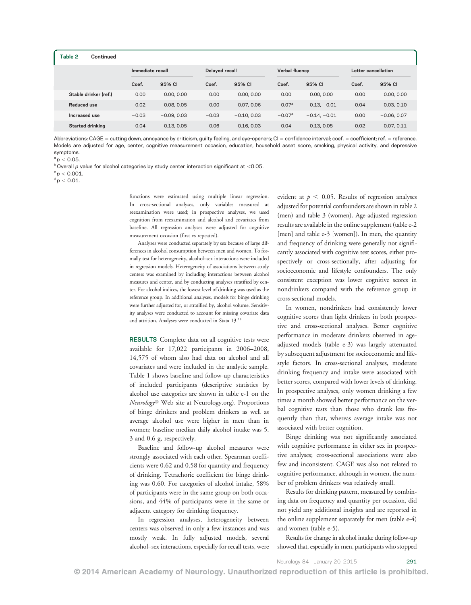| Table 2<br>Continued    |         |                  |         |                |                 |                |       |                     |  |
|-------------------------|---------|------------------|---------|----------------|-----------------|----------------|-------|---------------------|--|
|                         |         | Immediate recall |         | Delayed recall |                 | Verbal fluency |       | Letter cancellation |  |
|                         | Coef.   | 95% CI           | Coef.   | 95% CI         | Coef.           | 95% CI         | Coef. | 95% CI              |  |
| Stable drinker (ref.)   | 0.00    | 0.00, 0.00       | 0.00    | 0.00, 0.00     | 0.00            | 0.00, 0.00     | 0.00  | 0.00, 0.00          |  |
| Reduced use             | $-0.02$ | $-0.08, 0.05$    | $-0.00$ | $-0.07, 0.06$  | $-0.07a$        | $-0.13, -0.01$ | 0.04  | $-0.03, 0.10$       |  |
| Increased use           | $-0.03$ | $-0.09, 0.03$    | $-0.03$ | $-0.10, 0.03$  | $-0.07^{\rm a}$ | $-0.14, -0.01$ | 0.00  | $-0.06, 0.07$       |  |
| <b>Started drinking</b> | $-0.04$ | $-0.13, 0.05$    | $-0.06$ | $-0.16, 0.03$  | $-0.04$         | $-0.13, 0.05$  | 0.02  | $-0.07, 0.11$       |  |

Abbreviations: CAGE = cutting down, annoyance by criticism, guilty feeling, and eye-openers;  $Cl =$  confidence interval; coef. = coefficient; ref. = reference. Models are adjusted for age, center, cognitive measurement occasion, education, household asset score, smoking, physical activity, and depressive symptoms.

 $a_{\text{D}} < 0.05$ .

 $b$  Overall p value for alcohol categories by study center interaction significant at <0.05.

 $c_p < 0.001$ .

 $d p < 0.01$ .

functions were estimated using multiple linear regression. In cross-sectional analyses, only variables measured at reexamination were used; in prospective analyses, we used cognition from reexamination and alcohol and covariates from baseline. All regression analyses were adjusted for cognitive measurement occasion (first vs repeated).

Analyses were conducted separately by sex because of large differences in alcohol consumption between men and women. To formally test for heterogeneity, alcohol–sex interactions were included in regression models. Heterogeneity of associations between study centers was examined by including interactions between alcohol measures and center, and by conducting analyses stratified by center. For alcohol indices, the lowest level of drinking was used as the reference group. In additional analyses, models for binge drinking were further adjusted for, or stratified by, alcohol volume. Sensitivity analyses were conducted to account for missing covariate data and attrition. Analyses were conducted in Stata 13.18

RESULTS Complete data on all cognitive tests were available for 17,022 participants in 2006–2008, 14,575 of whom also had data on alcohol and all covariates and were included in the analytic sample. Table 1 shows baseline and follow-up characteristics of included participants (descriptive statistics by alcohol use categories are shown in table e-1 on the Neurology® Web site at [Neurology.org](http://www.neurology.org/)). Proportions of binge drinkers and problem drinkers as well as average alcohol use were higher in men than in women; baseline median daily alcohol intake was 5. 3 and 0.6 g, respectively.

Baseline and follow-up alcohol measures were strongly associated with each other. Spearman coefficients were 0.62 and 0.58 for quantity and frequency of drinking. Tetrachoric coefficient for binge drinking was 0.60. For categories of alcohol intake, 58% of participants were in the same group on both occasions, and 44% of participants were in the same or adjacent category for drinking frequency.

In regression analyses, heterogeneity between centers was observed in only a few instances and was mostly weak. In fully adjusted models, several alcohol–sex interactions, especially for recall tests, were

evident at  $p < 0.05$ . Results of regression analyses adjusted for potential confounders are shown in table 2 (men) and table 3 (women). Age-adjusted regression results are available in the online supplement (table e-2 [men] and table e-3 [women]). In men, the quantity and frequency of drinking were generally not significantly associated with cognitive test scores, either prospectively or cross-sectionally, after adjusting for socioeconomic and lifestyle confounders. The only consistent exception was lower cognitive scores in nondrinkers compared with the reference group in cross-sectional models.

In women, nondrinkers had consistently lower cognitive scores than light drinkers in both prospective and cross-sectional analyses. Better cognitive performance in moderate drinkers observed in ageadjusted models (table e-3) was largely attenuated by subsequent adjustment for socioeconomic and lifestyle factors. In cross-sectional analyses, moderate drinking frequency and intake were associated with better scores, compared with lower levels of drinking. In prospective analyses, only women drinking a few times a month showed better performance on the verbal cognitive tests than those who drank less frequently than that, whereas average intake was not associated with better cognition.

Binge drinking was not significantly associated with cognitive performance in either sex in prospective analyses; cross-sectional associations were also few and inconsistent. CAGE was also not related to cognitive performance, although in women, the number of problem drinkers was relatively small.

Results for drinking pattern, measured by combining data on frequency and quantity per occasion, did not yield any additional insights and are reported in the online supplement separately for men (table e-4) and women (table e-5).

Results for change in alcohol intake during follow-up showed that, especially in men, participants who stopped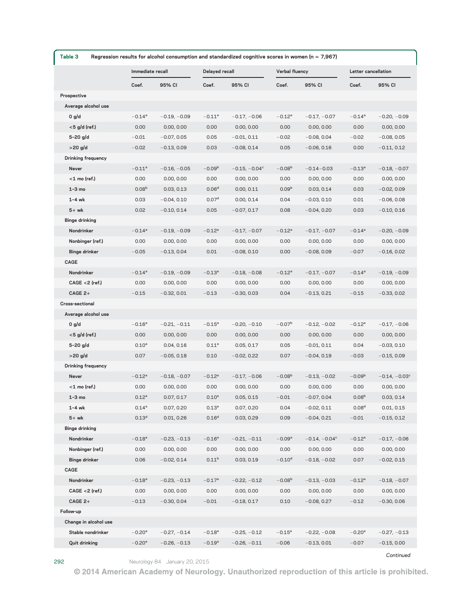| Table 3<br>Regression results for alcohol consumption and standardized cognitive scores in women ( $n = 7,967$ ) |                   |                  |                   |                  |                   |                  |                   |                     |  |
|------------------------------------------------------------------------------------------------------------------|-------------------|------------------|-------------------|------------------|-------------------|------------------|-------------------|---------------------|--|
|                                                                                                                  |                   | Immediate recall |                   | Delayed recall   |                   | Verbal fluency   |                   | Letter cancellation |  |
|                                                                                                                  | Coef.             | 95% CI           | Coef.             | 95% CI           | Coef.             | 95% CI           | Coef.             | 95% CI              |  |
| Prospective                                                                                                      |                   |                  |                   |                  |                   |                  |                   |                     |  |
| Average alcohol use                                                                                              |                   |                  |                   |                  |                   |                  |                   |                     |  |
| 0 g/d                                                                                                            | $-0.14^a$         | $-0.19, -0.09$   | $-0.11^a$         | $-0.17, -0.06$   | $-0.12^a$         | $-0.17, -0.07$   | $-0.14^a$         | $-0.20, -0.09$      |  |
| <5 g/d (ref.)                                                                                                    | 0.00              | 0.00, 0.00       | 0.00              | 0.00, 0.00       | 0.00              | 0.00, 0.00       | 0.00              | 0.00, 0.00          |  |
| $5 - 20$ g/d                                                                                                     | $-0.01$           | $-0.07, 0.05$    | 0.05              | $-0.01, 0.11$    | $-0.02$           | $-0.08, 0.04$    | $-0.02$           | $-0.08, 0.05$       |  |
| $>20$ g/d                                                                                                        | $-0.02$           | $-0.13, 0.09$    | 0.03              | $-0.08, 0.14$    | 0.05              | $-0.06, 0.16$    | 0.00              | $-0.11, 0.12$       |  |
| <b>Drinking frequency</b>                                                                                        |                   |                  |                   |                  |                   |                  |                   |                     |  |
| Never                                                                                                            | $-0.11^a$         | $-0.16, -0.05$   | $-0.09b$          | $-0.15, -0.04^c$ | $-0.08b$          | $-0.14 - 0.03$   | $-0.13^{a}$       | $-0.18, -0.07$      |  |
| $<$ 1 mo (ref.)                                                                                                  | 0.00              | 0.00, 0.00       | 0.00              | 0.00, 0.00       | 0.00              | 0.00, 0.00       | 0.00              | 0.00, 0.00          |  |
| $1-3$ mo                                                                                                         | 0.08 <sup>b</sup> | 0.03, 0.13       | 0.06 <sup>d</sup> | 0.00, 0.11       | 0.09 <sup>b</sup> | 0.03, 0.14       | 0.03              | $-0.02, 0.09$       |  |
| $1-4$ wk                                                                                                         | 0.03              | $-0.04, 0.10$    | 0.07 <sup>d</sup> | 0.00, 0.14       | 0.04              | $-0.03, 0.10$    | 0.01              | $-0.06, 0.08$       |  |
| $5+wk$                                                                                                           | 0.02              | $-0.10, 0.14$    | 0.05              | $-0.07, 0.17$    | 0.08              | $-0.04, 0.20$    | 0.03              | $-0.10, 0.16$       |  |
| <b>Binge drinking</b><br>Nondrinker                                                                              | $-0.14^{a}$       | $-0.19, -0.09$   | $-0.12^a$         | $-0.17, -0.07$   | $-0.12^a$         | $-0.17, -0.07$   | $-0.14^a$         | $-0.20, -0.09$      |  |
| Nonbinger (ref.)                                                                                                 | 0.00              | 0.00, 0.00       | 0.00              | 0.00, 0.00       | 0.00              | 0.00, 0.00       | 0.00              | 0.00, 0.00          |  |
| <b>Binge drinker</b>                                                                                             | $-0.05$           | $-0.13, 0.04$    | 0.01              | $-0.08, 0.10$    | 0.00              | $-0.08, 0.09$    | $-0.07$           | $-0.16, 0.02$       |  |
| CAGE                                                                                                             |                   |                  |                   |                  |                   |                  |                   |                     |  |
| Nondrinker                                                                                                       | $-0.14^a$         | $-0.19, -0.09$   | $-0.13^a$         | $-0.18, -0.08$   | $-0.12^a$         | $-0.17, -0.07$   | $-0.14^{a}$       | $-0.19, -0.09$      |  |
| $CAGE < 2$ (ref.)                                                                                                | 0.00              | 0.00, 0.00       | 0.00              | 0.00, 0.00       | 0.00              | 0.00, 0.00       | 0.00              | 0.00, 0.00          |  |
| $CAGE 2+$                                                                                                        | $-0.15$           | $-0.32, 0.01$    | $-0.13$           | $-0.30, 0.03$    | 0.04              | $-0.13, 0.21$    | $-0.15$           | $-0.33, 0.02$       |  |
| Cross-sectional                                                                                                  |                   |                  |                   |                  |                   |                  |                   |                     |  |
| Average alcohol use                                                                                              |                   |                  |                   |                  |                   |                  |                   |                     |  |
| 0 g/d                                                                                                            | $-0.16^a$         | $-0.21, -0.11$   | $-0.15^a$         | $-0.20, -0.10$   | $-0.07b$          | $-0.12, -0.02$   | $-0.12^a$         | $-0.17, -0.06$      |  |
| $<$ 5 g/d (ref.)                                                                                                 | 0.00              | 0.00, 0.00       | 0.00              | 0.00, 0.00       | 0.00              | 0.00, 0.00       | 0.00              | 0.00, 0.00          |  |
| $5 - 20$ g/d                                                                                                     | $0.10^{a}$        | 0.04, 0.16       | $0.11^{a}$        | 0.05, 0.17       | 0.05              | $-0.01, 0.11$    | 0.04              | $-0.03, 0.10$       |  |
| $>20$ g/d                                                                                                        | 0.07              | $-0.05, 0.18$    | 0.10              | $-0.02, 0.22$    | 0.07              | $-0.04, 0.19$    | $-0.03$           | $-0.15, 0.09$       |  |
| Drinking frequency                                                                                               |                   |                  |                   |                  |                   |                  |                   |                     |  |
| Never                                                                                                            | $-0.12^a$         | $-0.18, -0.07$   | $-0.12^a$         | $-0.17, -0.06$   | $-0.08b$          | $-0.13, -0.02$   | $-0.09b$          | $-0.14, -0.03^c$    |  |
| $<$ 1 mo (ref.)                                                                                                  | 0.00              | 0.00, 0.00       | 0.00              | 0.00, 0.00       | 0.00              | 0.00, 0.00       | 0.00              | 0.00, 0.00          |  |
| $1-3$ mo                                                                                                         | $0.12^{a}$        | 0.07, 0.17       | $0.10^{a}$        | 0.05, 0.15       | $-0.01$           | $-0.07, 0.04$    | 0.08 <sup>b</sup> | 0.03, 0.14          |  |
| $1 - 4$ wk                                                                                                       | $0.14^{a}$        | 0.07, 0.20       | $0.13^{a}$        | 0.07, 0.20       | 0.04              | $-0.02, 0.11$    | 0.08 <sup>d</sup> | 0.01, 0.15          |  |
| $5+wk$                                                                                                           | 0.13 <sup>d</sup> | 0.01, 0.26       | 0.16 <sup>d</sup> | 0.03, 0.29       | 0.09              | $-0.04, 0.21$    | $-0.01$           | $-0.15, 0.12$       |  |
| <b>Binge drinking</b>                                                                                            |                   |                  |                   |                  |                   |                  |                   |                     |  |
| Nondrinker                                                                                                       | $-0.18^{a}$       | $-0.23, -0.13$   | $-0.16^{\rm a}$   | $-0.21, -0.11$   | $-0.09^a$         | $-0.14, -0.04^c$ | $-0.12^a$         | $-0.17, -0.06$      |  |
| Nonbinger (ref.)                                                                                                 | 0.00              | 0.00, 0.00       | 0.00              | 0.00, 0.00       | 0.00              | 0.00, 0.00       | 0.00              | 0.00, 0.00          |  |
| <b>Binge drinker</b>                                                                                             | 0.06              | $-0.02, 0.14$    | 0.11 <sup>b</sup> | 0.03, 0.19       | $-0.10d$          | $-0.18, -0.02$   | 0.07              | $-0.02, 0.15$       |  |
| CAGE                                                                                                             |                   |                  |                   |                  |                   |                  |                   |                     |  |
| Nondrinker                                                                                                       | $-0.18^{a}$       | $-0.23, -0.13$   | $-0.17^a$         | $-0.22, -0.12$   | $-0.08b$          | $-0.13, -0.03$   | $-0.12^a$         | $-0.18, -0.07$      |  |
| $CAGE < 2$ (ref.)                                                                                                | 0.00              | 0.00, 0.00       | 0.00              | 0.00, 0.00       | 0.00              | 0.00, 0.00       | 0.00              | 0.00, 0.00          |  |
| $CAGE 2+$                                                                                                        | $-0.13$           | $-0.30, 0.04$    | $-0.01$           | $-0.18, 0.17$    | 0.10              | $-0.08, 0.27$    | $-0.12$           | $-0.30, 0.06$       |  |
| Follow-up                                                                                                        |                   |                  |                   |                  |                   |                  |                   |                     |  |
| Change in alcohol use                                                                                            |                   |                  |                   |                  |                   |                  |                   |                     |  |
| Stable nondrinker                                                                                                | $-0.20^{\rm a}$   | $-0.27, -0.14$   | $-0.18^{a}$       | $-0.25, -0.12$   | $-0.15^{\rm a}$   | $-0.22, -0.08$   | $-0.20^{\rm a}$   | $-0.27, -0.13$      |  |
| <b>Quit drinking</b>                                                                                             | $-0.20^{\rm a}$   | $-0.26, -0.13$   | $-0.19^a$         | $-0.26, -0.11$   | $-0.06$           | $-0.13, 0.01$    | $-0.07$           | $-0.15, 0.00$       |  |

292 Neurology 84 January 20, 2015

Continued

© 2014 American Academy of Neurology. Unauthorized reproduction of this article is prohibited.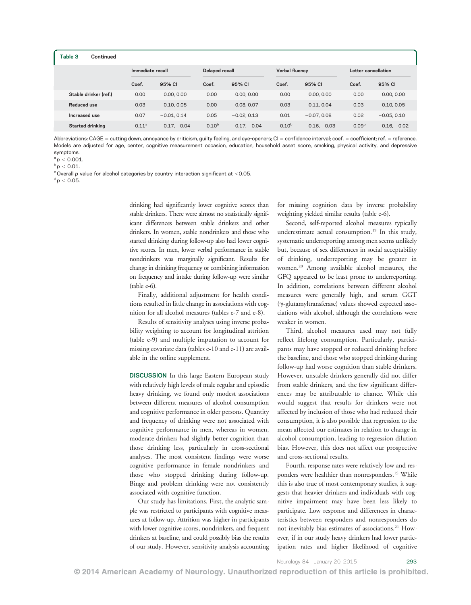| Table 3<br>Continued  |           |                |                |                |                |                |                     |                |
|-----------------------|-----------|----------------|----------------|----------------|----------------|----------------|---------------------|----------------|
| Immediate recall      |           |                | Delayed recall |                | Verbal fluency |                | Letter cancellation |                |
|                       | Coef.     | 95% CI         | Coef.          | 95% CI         | Coef.          | 95% CI         | Coef.               | 95% CI         |
| Stable drinker (ref.) | 0.00      | 0.00, 0.00     | 0.00           | 0.00, 0.00     | 0.00           | 0.00, 0.00     | 0.00                | 0.00, 0.00     |
| Reduced use           | $-0.03$   | $-0.10, 0.05$  | $-0.00$        | $-0.08, 0.07$  | $-0.03$        | $-0.11, 0.04$  | $-0.03$             | $-0.10, 0.05$  |
| Increased use         | 0.07      | $-0.01, 0.14$  | 0.05           | $-0.02, 0.13$  | 0.01           | $-0.07, 0.08$  | 0.02                | $-0.05, 0.10$  |
| Started drinking      | $-0.11^a$ | $-0.17, -0.04$ | $-0.10^{b}$    | $-0.17, -0.04$ | $-0.10^{b}$    | $-0.16, -0.03$ | $-0.09b$            | $-0.16, -0.02$ |

Abbreviations: CAGE = cutting down, annoyance by criticism, guilty feeling, and eye-openers; CI = confidence interval; coef. = coefficient; ref. = reference. Models are adjusted for age, center, cognitive measurement occasion, education, household asset score, smoking, physical activity, and depressive symptoms.

 $a$   $p$  < 0.001.

 $^{\rm b}p <$  0.01.

 $\degree$  Overall p value for alcohol categories by country interaction significant at <0.05.  $d$  p  $<$  0.05.

> drinking had significantly lower cognitive scores than stable drinkers. There were almost no statistically significant differences between stable drinkers and other drinkers. In women, stable nondrinkers and those who started drinking during follow-up also had lower cognitive scores. In men, lower verbal performance in stable nondrinkers was marginally significant. Results for change in drinking frequency or combining information on frequency and intake during follow-up were similar (table e-6).

> Finally, additional adjustment for health conditions resulted in little change in associations with cognition for all alcohol measures (tables e-7 and e-8).

> Results of sensitivity analyses using inverse probability weighting to account for longitudinal attrition (table e-9) and multiple imputation to account for missing covariate data (tables e-10 and e-11) are available in the online supplement.

> DISCUSSION In this large Eastern European study with relatively high levels of male regular and episodic heavy drinking, we found only modest associations between different measures of alcohol consumption and cognitive performance in older persons. Quantity and frequency of drinking were not associated with cognitive performance in men, whereas in women, moderate drinkers had slightly better cognition than those drinking less, particularly in cross-sectional analyses. The most consistent findings were worse cognitive performance in female nondrinkers and those who stopped drinking during follow-up. Binge and problem drinking were not consistently associated with cognitive function.

> Our study has limitations. First, the analytic sample was restricted to participants with cognitive measures at follow-up. Attrition was higher in participants with lower cognitive scores, nondrinkers, and frequent drinkers at baseline, and could possibly bias the results of our study. However, sensitivity analysis accounting

for missing cognition data by inverse probability weighting yielded similar results (table e-6).

Second, self-reported alcohol measures typically underestimate actual consumption.<sup>19</sup> In this study, systematic underreporting among men seems unlikely but, because of sex differences in social acceptability of drinking, underreporting may be greater in women.20 Among available alcohol measures, the GFQ appeared to be least prone to underreporting. In addition, correlations between different alcohol measures were generally high, and serum GGT (g-glutamyltransferase) values showed expected associations with alcohol, although the correlations were weaker in women.

Third, alcohol measures used may not fully reflect lifelong consumption. Particularly, participants may have stopped or reduced drinking before the baseline, and those who stopped drinking during follow-up had worse cognition than stable drinkers. However, unstable drinkers generally did not differ from stable drinkers, and the few significant differences may be attributable to chance. While this would suggest that results for drinkers were not affected by inclusion of those who had reduced their consumption, it is also possible that regression to the mean affected our estimates in relation to change in alcohol consumption, leading to regression dilution bias. However, this does not affect our prospective and cross-sectional results.

Fourth, response rates were relatively low and responders were healthier than nonresponders.<sup>15</sup> While this is also true of most contemporary studies, it suggests that heavier drinkers and individuals with cognitive impairment may have been less likely to participate. Low response and differences in characteristics between responders and nonresponders do not inevitably bias estimates of associations.<sup>21</sup> However, if in our study heavy drinkers had lower participation rates and higher likelihood of cognitive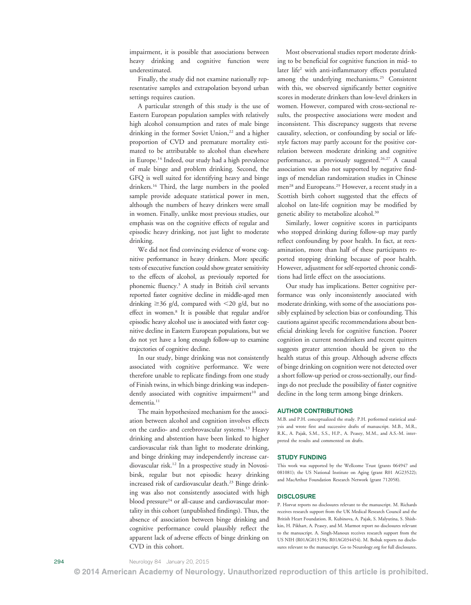impairment, it is possible that associations between heavy drinking and cognitive function were underestimated.

Finally, the study did not examine nationally representative samples and extrapolation beyond urban settings requires caution.

A particular strength of this study is the use of Eastern European population samples with relatively high alcohol consumption and rates of male binge drinking in the former Soviet Union,<sup>22</sup> and a higher proportion of CVD and premature mortality estimated to be attributable to alcohol than elsewhere in Europe.14 Indeed, our study had a high prevalence of male binge and problem drinking. Second, the GFQ is well suited for identifying heavy and binge drinkers.16 Third, the large numbers in the pooled sample provide adequate statistical power in men, although the numbers of heavy drinkers were small in women. Finally, unlike most previous studies, our emphasis was on the cognitive effects of regular and episodic heavy drinking, not just light to moderate drinking.

We did not find convincing evidence of worse cognitive performance in heavy drinkers. More specific tests of executive function could show greater sensitivity to the effects of alcohol, as previously reported for phonemic fluency.3 A study in British civil servants reported faster cognitive decline in middle-aged men drinking  $\geq 36$  g/d, compared with  $\leq 20$  g/d, but no effect in women.8 It is possible that regular and/or episodic heavy alcohol use is associated with faster cognitive decline in Eastern European populations, but we do not yet have a long enough follow-up to examine trajectories of cognitive decline.

In our study, binge drinking was not consistently associated with cognitive performance. We were therefore unable to replicate findings from one study of Finish twins, in which binge drinking was independently associated with cognitive impairment<sup>10</sup> and dementia.<sup>11</sup>

The main hypothesized mechanism for the association between alcohol and cognition involves effects on the cardio- and cerebrovascular systems.<sup>13</sup> Heavy drinking and abstention have been linked to higher cardiovascular risk than light to moderate drinking, and binge drinking may independently increase cardiovascular risk.12 In a prospective study in Novosibirsk, regular but not episodic heavy drinking increased risk of cardiovascular death.<sup>23</sup> Binge drinking was also not consistently associated with high blood pressure<sup>24</sup> or all-cause and cardiovascular mortality in this cohort (unpublished findings). Thus, the absence of association between binge drinking and cognitive performance could plausibly reflect the apparent lack of adverse effects of binge drinking on CVD in this cohort.

Most observational studies report moderate drinking to be beneficial for cognitive function in mid- to later life<sup>2</sup> with anti-inflammatory effects postulated among the underlying mechanisms.25 Consistent with this, we observed significantly better cognitive scores in moderate drinkers than low-level drinkers in women. However, compared with cross-sectional results, the prospective associations were modest and inconsistent. This discrepancy suggests that reverse causality, selection, or confounding by social or lifestyle factors may partly account for the positive correlation between moderate drinking and cognitive performance, as previously suggested.<sup>26,27</sup> A causal association was also not supported by negative findings of mendelian randomization studies in Chinese men<sup>28</sup> and Europeans.<sup>29</sup> However, a recent study in a Scottish birth cohort suggested that the effects of alcohol on late-life cognition may be modified by genetic ability to metabolize alcohol.<sup>30</sup>

Similarly, lower cognitive scores in participants who stopped drinking during follow-up may partly reflect confounding by poor health. In fact, at reexamination, more than half of these participants reported stopping drinking because of poor health. However, adjustment for self-reported chronic conditions had little effect on the associations.

Our study has implications. Better cognitive performance was only inconsistently associated with moderate drinking, with some of the associations possibly explained by selection bias or confounding. This cautions against specific recommendations about beneficial drinking levels for cognitive function. Poorer cognition in current nondrinkers and recent quitters suggests greater attention should be given to the health status of this group. Although adverse effects of binge drinking on cognition were not detected over a short follow-up period or cross-sectionally, our findings do not preclude the possibility of faster cognitive decline in the long term among binge drinkers.

#### AUTHOR CONTRIBUTIONS

M.B. and P.H. conceptualized the study. P.H. performed statistical analysis and wrote first and successive drafts of manuscript. M.B., M.R., R.K., A. Pajak, S.M., S.S., H.P., A. Peasey, M.M., and A.S.-M. interpreted the results and commented on drafts.

#### STUDY FUNDING

This work was supported by the Wellcome Trust (grants 064947 and 081081); the US National Institute on Aging (grant R01 AG23522); and MacArthur Foundation Research Network (grant 712058).

#### **DISCLOSURE**

P. Horvat reports no disclosures relevant to the manuscript. M. Richards receives research support from the UK Medical Research Council and the British Heart Foundation. R. Kubinova, A. Pajak, S. Malyutina, S. Shishkin, H. Pikhart, A. Peasey, and M. Marmot report no disclosures relevant to the manuscript. A. Singh-Manoux receives research support from the US NIH (R01AG013196; R01AG034454). M. Bobak reports no disclosures relevant to the manuscript. Go to [Neurology.org](http://neurology.org/) for full disclosures.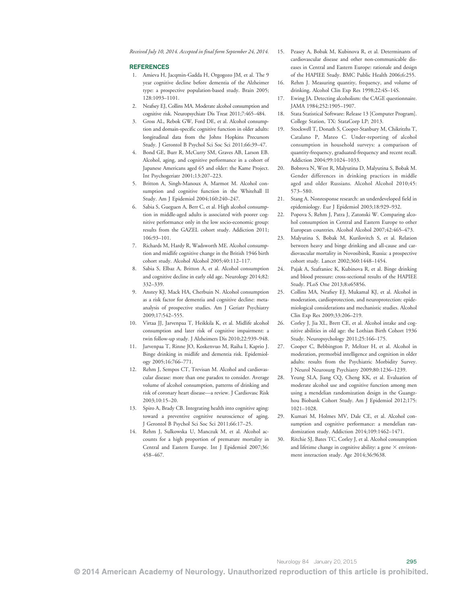#### REFERENCES

- 1. Amieva H, Jacqmin-Gadda H, Orgogozo JM, et al. The 9 year cognitive decline before dementia of the Alzheimer type: a prospective population-based study. Brain 2005; 128:1093–1101.
- 2. Neafsey EJ, Collins MA. Moderate alcohol consumption and cognitive risk. Neuropsychiatr Dis Treat 2011;7:465–484.
- 3. Gross AL, Rebok GW, Ford DE, et al. Alcohol consumption and domain-specific cognitive function in older adults: longitudinal data from the Johns Hopkins Precursors Study. J Gerontol B Psychol Sci Soc Sci 2011;66:39–47.
- 4. Bond GE, Burr R, McCurry SM, Graves AB, Larson EB. Alcohol, aging, and cognitive performance in a cohort of Japanese Americans aged 65 and older: the Kame Project. Int Psychogeriatr 2001;13:207–223.
- 5. Britton A, Singh-Manoux A, Marmot M. Alcohol consumption and cognitive function in the Whitehall II Study. Am J Epidemiol 2004;160:240–247.
- 6. Sabia S, Gueguen A, Berr C, et al. High alcohol consumption in middle-aged adults is associated with poorer cognitive performance only in the low socio-economic group: results from the GAZEL cohort study. Addiction 2011; 106:93–101.
- 7. Richards M, Hardy R, Wadsworth ME. Alcohol consumption and midlife cognitive change in the British 1946 birth cohort study. Alcohol Alcohol 2005;40:112–117.
- 8. Sabia S, Elbaz A, Britton A, et al. Alcohol consumption and cognitive decline in early old age. Neurology 2014;82: 332–339.
- 9. Anstey KJ, Mack HA, Cherbuin N. Alcohol consumption as a risk factor for dementia and cognitive decline: metaanalysis of prospective studies. Am J Geriatr Psychiatry 2009;17:542–555.
- 10. Virtaa JJ, Jarvenpaa T, Heikkila K, et al. Midlife alcohol consumption and later risk of cognitive impairment: a twin follow-up study. J Alzheimers Dis 2010;22:939–948.
- Jarvenpaa T, Rinne JO, Koskenvuo M, Raiha I, Kaprio J. Binge drinking in midlife and dementia risk. Epidemiology 2005;16:766–771.
- 12. Rehm J, Sempos CT, Trevisan M. Alcohol and cardiovascular disease: more than one paradox to consider. Average volume of alcohol consumption, patterns of drinking and risk of coronary heart disease—a review. J Cardiovasc Risk 2003;10:15–20.
- 13. Spiro A, Brady CB. Integrating health into cognitive aging: toward a preventive cognitive neuroscience of aging. J Gerontol B Psychol Sci Soc Sci 2011;66:17–25.
- 14. Rehm J, Sulkowska U, Manczuk M, et al. Alcohol accounts for a high proportion of premature mortality in Central and Eastern Europe. Int J Epidemiol 2007;36: 458–467.
- 15. Peasey A, Bobak M, Kubinova R, et al. Determinants of cardiovascular disease and other non-communicable diseases in Central and Eastern Europe: rationale and design of the HAPIEE Study. BMC Public Health 2006;6:255.
- 16. Rehm J. Measuring quantity, frequency, and volume of drinking. Alcohol Clin Exp Res 1998;22:4S–14S.
- 17. Ewing JA. Detecting alcoholism: the CAGE questionnaire. JAMA 1984;252:1905–1907.
- 18. Stata Statistical Software: Release 13 [Computer Program]. College Station, TX: StataCorp LP; 2013.
- 19. Stockwell T, Donath S, Cooper-Stanbury M, Chikritzhs T, Catalano P, Mateo C. Under-reporting of alcohol consumption in household surveys: a comparison of quantity-frequency, graduated-frequency and recent recall. Addiction 2004;99:1024–1033.
- 20. Bobrova N, West R, Malyutina D, Malyutina S, Bobak M. Gender differences in drinking practices in middle aged and older Russians. Alcohol Alcohol 2010;45: 573–580.
- 21. Stang A. Nonresponse research: an underdeveloped field in epidemiology. Eur J Epidemiol 2003;18:929–932.
- 22. Popova S, Rehm J, Patra J, Zatonski W. Comparing alcohol consumption in Central and Eastern Europe to other European countries. Alcohol Alcohol 2007;42:465–473.
- 23. Malyutina S, Bobak M, Kurilovitch S, et al. Relation between heavy and binge drinking and all-cause and cardiovascular mortality in Novosibirsk, Russia: a prospective cohort study. Lancet 2002;360:1448–1454.
- 24. Pajak A, Szafraniec K, Kubinova R, et al. Binge drinking and blood pressure: cross-sectional results of the HAPIEE Study. PLoS One 2013;8:e65856.
- 25. Collins MA, Neafsey EJ, Mukamal KJ, et al. Alcohol in moderation, cardioprotection, and neuroprotection: epidemiological considerations and mechanistic studies. Alcohol Clin Exp Res 2009;33:206–219.
- 26. Corley J, Jia XL, Brett CE, et al. Alcohol intake and cognitive abilities in old age: the Lothian Birth Cohort 1936 Study. Neuropsychology 2011;25:166–175.
- 27. Cooper C, Bebbington P, Meltzer H, et al. Alcohol in moderation, premorbid intelligence and cognition in older adults: results from the Psychiatric Morbidity Survey. J Neurol Neurosurg Psychiatry 2009;80:1236–1239.
- 28. Yeung SLA, Jiang CQ, Cheng KK, et al. Evaluation of moderate alcohol use and cognitive function among men using a mendelian randomization design in the Guangzhou Biobank Cohort Study. Am J Epidemiol 2012;175: 1021–1028.
- 29. Kumari M, Holmes MV, Dale CE, et al. Alcohol consumption and cognitive performance: a mendelian randomization study. Addiction 2014;109:1462–1471.
- 30. Ritchie SJ, Bates TC, Corley J, et al. Alcohol consumption and lifetime change in cognitive ability: a gene  $\times$  environment interaction study. Age 2014;36:9638.

© 2014 American Academy of Neurology. Unauthorized reproduction of this article is prohibited.